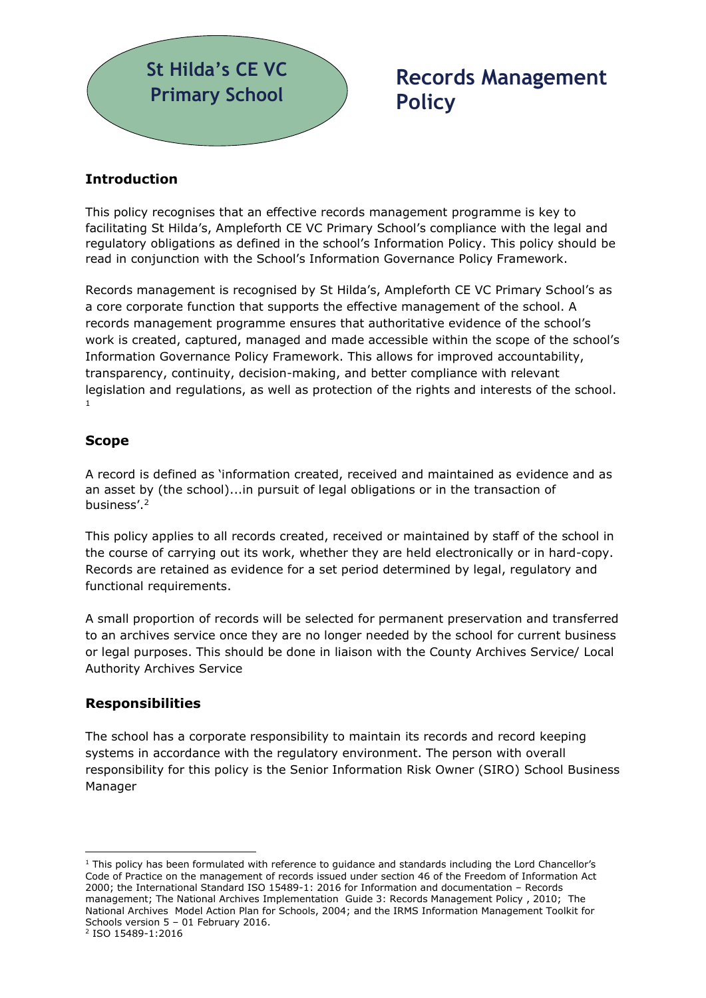

# **Records Management Policy**

# **Introduction**

This policy recognises that an effective records management programme is key to facilitating St Hilda's, Ampleforth CE VC Primary School's compliance with the legal and regulatory obligations as defined in the school's Information Policy. This policy should be read in conjunction with the School's Information Governance Policy Framework.

Records management is recognised by St Hilda's, Ampleforth CE VC Primary School's as a core corporate function that supports the effective management of the school. A records management programme ensures that authoritative evidence of the school's work is created, captured, managed and made accessible within the scope of the school's Information Governance Policy Framework. This allows for improved accountability, transparency, continuity, decision-making, and better compliance with relevant legislation and regulations, as well as protection of the rights and interests of the school. 1

#### **Scope**

A record is defined as 'information created, received and maintained as evidence and as an asset by (the school)...in pursuit of legal obligations or in the transaction of business'.<sup>2</sup>

This policy applies to all records created, received or maintained by staff of the school in the course of carrying out its work, whether they are held electronically or in hard-copy. Records are retained as evidence for a set period determined by legal, regulatory and functional requirements.

A small proportion of records will be selected for permanent preservation and transferred to an archives service once they are no longer needed by the school for current business or legal purposes. This should be done in liaison with the County Archives Service/ Local Authority Archives Service

## **Responsibilities**

The school has a corporate responsibility to maintain its records and record keeping systems in accordance with the regulatory environment. The person with overall responsibility for this policy is the Senior Information Risk Owner (SIRO) School Business Manager

 $1$  This policy has been formulated with reference to quidance and standards including the Lord Chancellor's Code of Practice on the management of records issued under section 46 of the Freedom of Information Act 2000; the International Standard ISO 15489-1: 2016 for Information and documentation – Records management; The National Archives Implementation Guide 3: Records Management Policy , 2010; The National Archives Model Action Plan for Schools, 2004; and the IRMS Information Management Toolkit for Schools version 5 – 01 February 2016.

<sup>2</sup> ISO 15489-1:2016